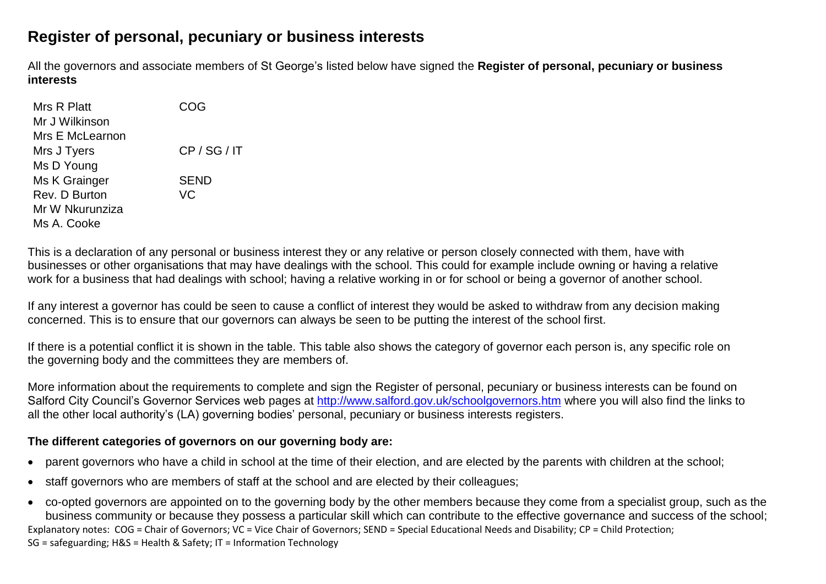## **Register of personal, pecuniary or business interests**

All the governors and associate members of St George's listed below have signed the **Register of personal, pecuniary or business interests**

| Mrs R Platt     | COG          |
|-----------------|--------------|
| Mr J Wilkinson  |              |
| Mrs E McLearnon |              |
| Mrs J Tyers     | CP / SG / IT |
| Ms D Young      |              |
| Ms K Grainger   | <b>SEND</b>  |
| Rev. D Burton   | VC           |
| Mr W Nkurunziza |              |
| Ms A. Cooke     |              |

This is a declaration of any personal or business interest they or any relative or person closely connected with them, have with businesses or other organisations that may have dealings with the school. This could for example include owning or having a relative work for a business that had dealings with school; having a relative working in or for school or being a governor of another school.

If any interest a governor has could be seen to cause a conflict of interest they would be asked to withdraw from any decision making concerned. This is to ensure that our governors can always be seen to be putting the interest of the school first.

If there is a potential conflict it is shown in the table. This table also shows the category of governor each person is, any specific role on the governing body and the committees they are members of.

More information about the requirements to complete and sign the Register of personal, pecuniary or business interests can be found on Salford City Council's Governor Services web pages at<http://www.salford.gov.uk/schoolgovernors.htm> where you will also find the links to all the other local authority's (LA) governing bodies' personal, pecuniary or business interests registers.

## **The different categories of governors on our governing body are:**

- parent governors who have a child in school at the time of their election, and are elected by the parents with children at the school;
- staff governors who are members of staff at the school and are elected by their colleagues;
- Explanatory notes: COG = Chair of Governors; VC = Vice Chair of Governors; SEND = Special Educational Needs and Disability; CP = Child Protection; SG = safeguarding; H&S = Health & Safety; IT = Information Technology co-opted governors are appointed on to the governing body by the other members because they come from a specialist group, such as the business community or because they possess a particular skill which can contribute to the effective governance and success of the school;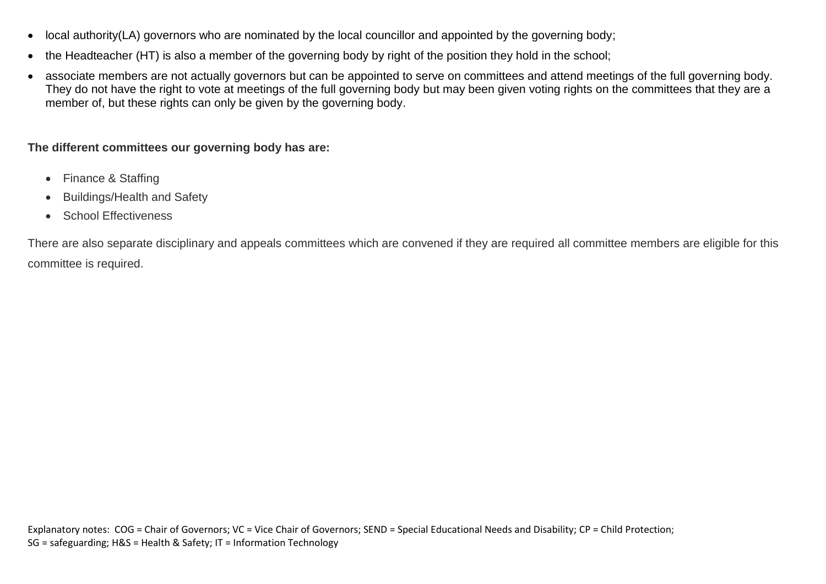- local authority(LA) governors who are nominated by the local councillor and appointed by the governing body;
- the Headteacher (HT) is also a member of the governing body by right of the position they hold in the school;
- associate members are not actually governors but can be appointed to serve on committees and attend meetings of the full governing body. They do not have the right to vote at meetings of the full governing body but may been given voting rights on the committees that they are a member of, but these rights can only be given by the governing body.

**The different committees our governing body has are:**

- Finance & Staffing
- Buildings/Health and Safety
- School Effectiveness

There are also separate disciplinary and appeals committees which are convened if they are required all committee members are eligible for this committee is required.